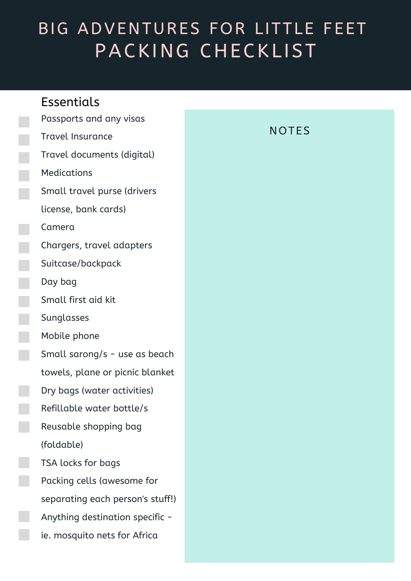# BIG ADVENTURES FOR LITTLE FEET PACKING CHECKLIST

### **Essentials**

Passports and any visas Travel Insurance

Travel documents (digital)

Medications

Small travel purse (drivers

license, bank cards)

Camera

Chargers, travel adapters

Suitcase/backpack

Day bag

Small first aid kit

Sunglasses

Mobile phone

Small sarong/s - use as beach

towels, plane or picnic blanket

Dry bags (water activities)

Refillable water bottle/s

Reusable shopping bag (foldable)

TSA locks for bags Packing cells (awesome for separating each person's stuff!) Anything destination specific ie. mosquito nets for Africa

#### **NOTES**